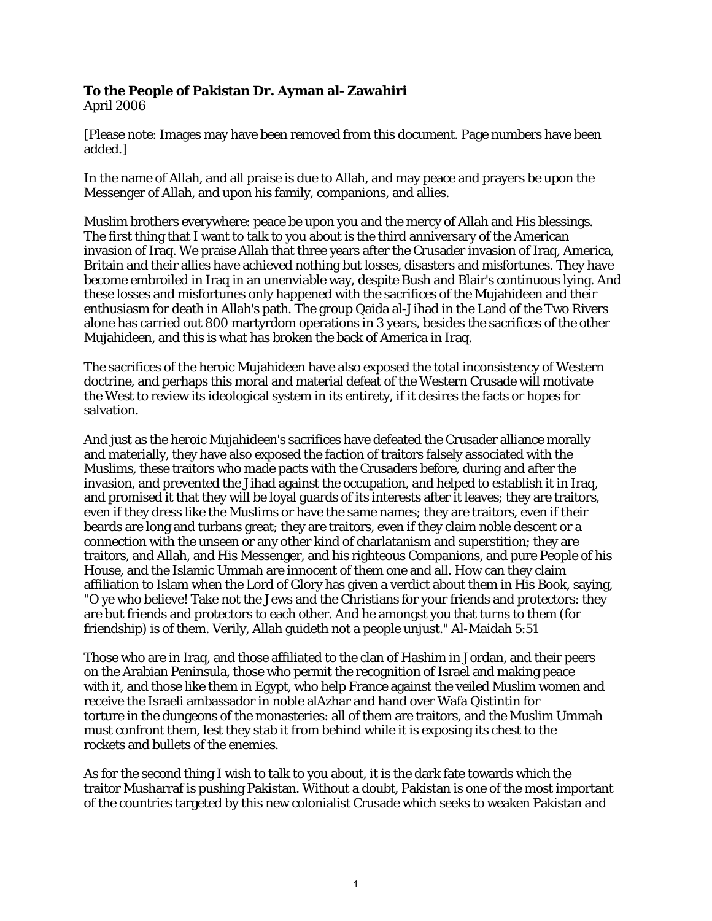## **To the People of Pakistan Dr. Ayman al- Zawahiri**

April 2006

[Please note: Images may have been removed from this document. Page numbers have been added.]

In the name of Allah, and all praise is due to Allah, and may peace and prayers be upon the Messenger of Allah, and upon his family, companions, and allies.

Muslim brothers everywhere: peace be upon you and the mercy of Allah and His blessings. The first thing that I want to talk to you about is the third anniversary of the American invasion of Iraq. We praise Allah that three years after the Crusader invasion of Iraq, America, Britain and their allies have achieved nothing but losses, disasters and misfortunes. They have become embroiled in Iraq in an unenviable way, despite Bush and Blair's continuous lying. And these losses and misfortunes only happened with the sacrifices of the Mujahideen and their enthusiasm for death in Allah's path. The group Qaida al-Jihad in the Land of the Two Rivers alone has carried out 800 martyrdom operations in 3 years, besides the sacrifices of the other Mujahideen, and this is what has broken the back of America in Iraq.

The sacrifices of the heroic Mujahideen have also exposed the total inconsistency of Western doctrine, and perhaps this moral and material defeat of the Western Crusade will motivate the West to review its ideological system in its entirety, if it desires the facts or hopes for salvation.

And just as the heroic Mujahideen's sacrifices have defeated the Crusader alliance morally and materially, they have also exposed the faction of traitors falsely associated with the Muslims, these traitors who made pacts with the Crusaders before, during and after the invasion, and prevented the Jihad against the occupation, and helped to establish it in Iraq, and promised it that they will be loyal guards of its interests after it leaves; they are traitors, even if they dress like the Muslims or have the same names; they are traitors, even if their beards are long and turbans great; they are traitors, even if they claim noble descent or a connection with the unseen or any other kind of charlatanism and superstition; they are traitors, and Allah, and His Messenger, and his righteous Companions, and pure People of his House, and the Islamic Ummah are innocent of them one and all. How can they claim affiliation to Islam when the Lord of Glory has given a verdict about them in His Book, saying, "O ye who believe! Take not the Jews and the Christians for your friends and protectors: they are but friends and protectors to each other. And he amongst you that turns to them (for friendship) is of them. Verily, Allah guideth not a people unjust." Al-Maidah 5:51

Those who are in Iraq, and those affiliated to the clan of Hashim in Jordan, and their peers on the Arabian Peninsula, those who permit the recognition of Israel and making peace with it, and those like them in Egypt, who help France against the veiled Muslim women and receive the Israeli ambassador in noble alAzhar and hand over Wafa Qistintin for torture in the dungeons of the monasteries: all of them are traitors, and the Muslim Ummah must confront them, lest they stab it from behind while it is exposing its chest to the rockets and bullets of the enemies.

As for the second thing I wish to talk to you about, it is the dark fate towards which the traitor Musharraf is pushing Pakistan. Without a doubt, Pakistan is one of the most important of the countries targeted by this new colonialist Crusade which seeks to weaken Pakistan and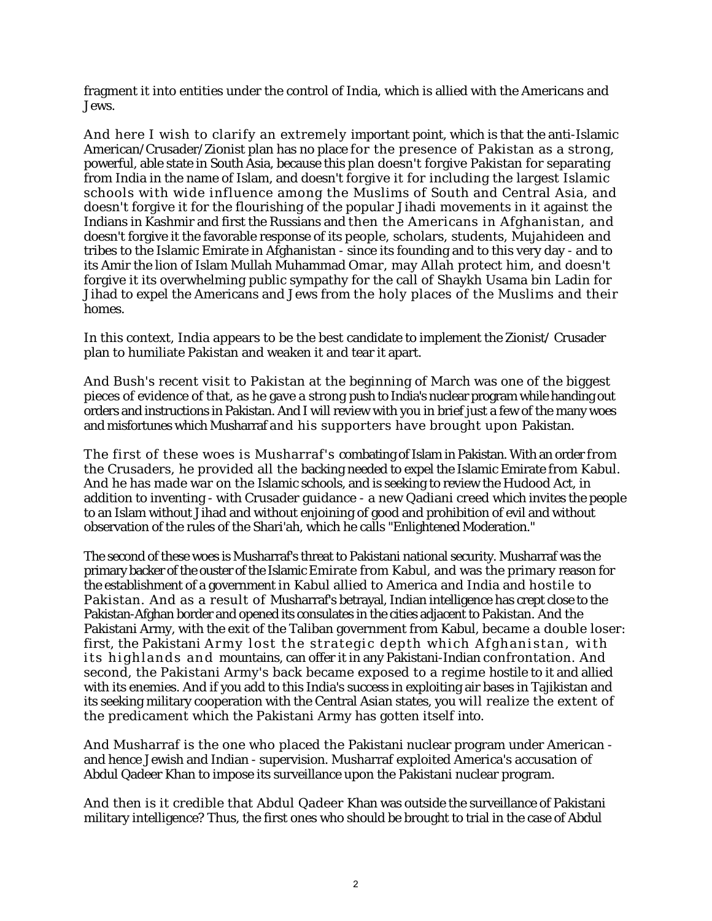fragment it into entities under the control of India, which is allied with the Americans and Jews.

And here I wish to clarify an extremely important point, which is that the anti-Islamic American/Crusader/Zionist plan has no place for the presence of Pakistan as a strong, powerful, able state in South Asia, because this plan doesn't forgive Pakistan for separating from India in the name of Islam, and doesn't forgive it for including the largest Islamic schools with wide influence among the Muslims of South and Central Asia, and doesn't forgive it for the flourishing of the popular Jihadi movements in it against the Indians in Kashmir and first the Russians and then the Americans in Afghanistan, and doesn't forgive it the favorable response of its people, scholars, students, Mujahideen and tribes to the Islamic Emirate in Afghanistan - since its founding and to this very day - and to its Amir the lion of Islam Mullah Muhammad Omar, may Allah protect him, and doesn't forgive it its overwhelming public sympathy for the call of Shaykh Usama bin Ladin for Jihad to expel the Americans and Jews from the holy places of the Muslims and their homes.

In this context, India appears to be the best candidate to implement the Zionist/ Crusader plan to humiliate Pakistan and weaken it and tear it apart.

And Bush's recent visit to Pakistan at the beginning of March was one of the biggest pieces of evidence of that, as he gave a strong push to India's nuclear program while handing out orders and instructions in Pakistan. And I will review with you in brief just a few of the many woes and misfortunes which Musharraf and his supporters have brought upon Pakistan.

The first of these woes is Musharraf's combating of Islam in Pakistan. With an order from the Crusaders, he provided all the backing needed to expel the Islamic Emirate from Kabul. And he has made war on the Islamic schools, and is seeking to review the Hudood Act, in addition to inventing - with Crusader guidance - a new Qadiani creed which invites the people to an Islam without Jihad and without enjoining of good and prohibition of evil and without observation of the rules of the Shari'ah, which he calls "Enlightened Moderation."

The second of these woes is Musharraf's threat to Pakistani national security. Musharraf was the primary backer of the ouster of the Islamic Emirate from Kabul, and was the primary reason for the establishment of a government in Kabul allied to America and India and hostile to Pakistan. And as a result of Musharraf's betrayal, Indian intelligence has crept close to the Pakistan-Afghan border and opened its consulates in the cities adjacent to Pakistan. And the Pakistani Army, with the exit of the Taliban government from Kabul, became a double loser: first, the Pakistani Army lost the strategic depth which Afghanistan, with its highlands and mountains, can offer it in any Pakistani-Indian confrontation. And second, the Pakistani Army's back became exposed to a regime hostile to it and allied with its enemies. And if you add to this India's success in exploiting air bases in Tajikistan and its seeking military cooperation with the Central Asian states, you will realize the extent of the predicament which the Pakistani Army has gotten itself into.

And Musharraf is the one who placed the Pakistani nuclear program under American and hence Jewish and Indian - supervision. Musharraf exploited America's accusation of Abdul Qadeer Khan to impose its surveillance upon the Pakistani nuclear program.

And then is it credible that Abdul Qadeer Khan was outside the surveillance of Pakistani military intelligence? Thus, the first ones who should be brought to trial in the case of Abdul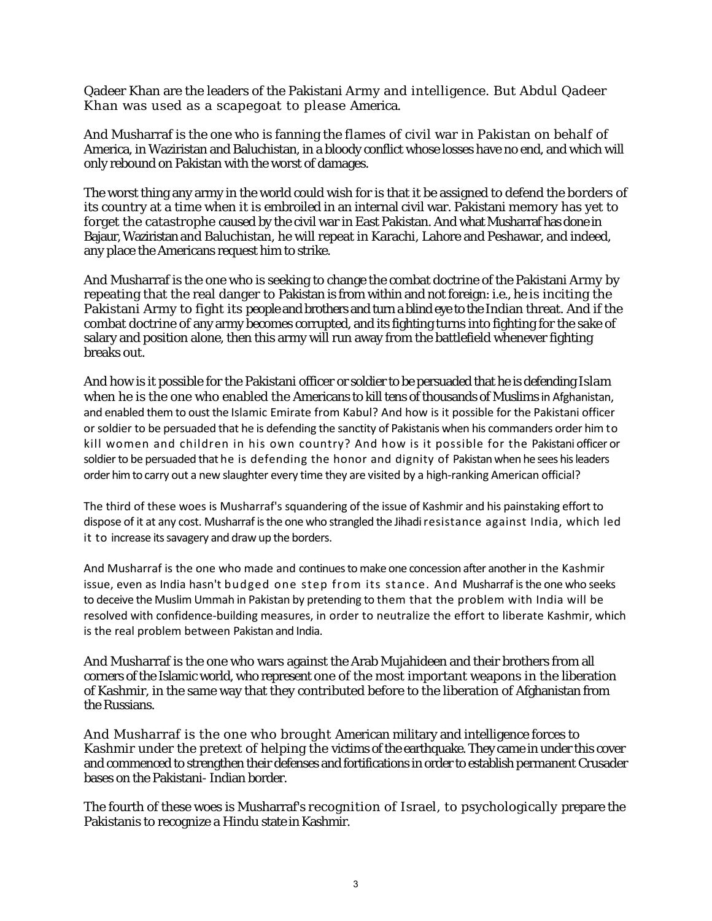Qadeer Khan are the leaders of the Pakistani Army and intelligence. But Abdul Qadeer Khan was used as a scapegoat to please America.

And Musharraf is the one who is fanning the flames of civil war in Pakistan on behalf of America, in Waziristan and Baluchistan, in a bloody conflict whose losses have no end, and which will only rebound on Pakistan with the worst of damages.

The worst thing any army in the world could wish for is that it be assigned to defend the borders of its country at a time when it is embroiled in an internal civil war. Pakistani memory has yet to forget the catastrophe caused by the civil war in East Pakistan. And what Musharraf has done in Bajaur, Waziristan and Baluchistan, he will repeat in Karachi, Lahore and Peshawar, and indeed, any place the Americans request him to strike.

And Musharraf is the one who is seeking to change the combat doctrine of the Pakistani Army by repeating that the real danger to Pakistan is from within and not foreign: i.e., he is inciting the Pakistani Army to fight its people and brothers and turn a blind eye to the Indian threat. And if the combat doctrine of any army becomes corrupted, and its fighting turns into fighting for the sake of salary and position alone, then this army will run away from the battlefield whenever fighting breaks out.

And how is it possible for the Pakistani officer or soldier to be persuaded that he is defending Islam when he is the one who enabled the Americans to kill tens of thousands of Muslims in Afghanistan, and enabled them to oust the Islamic Emirate from Kabul? And how is it possible for the Pakistani officer or soldier to be persuaded that he is defending the sanctity of Pakistanis when his commanders order him to kill women and children in his own country? And how is it possible for the Pakistani officer or soldier to be persuaded that he is defending the honor and dignity of Pakistan when he sees his leaders order himto carry out a new slaughter every time they are visited by a high‐ranking American official?

The third of these woes is Musharraf's squandering of the issue of Kashmir and his painstaking effort to dispose of it at any cost. Musharraf isthe one who strangled the Jihadiresistance against India, which led it to increase its savagery and draw up the borders.

And Musharraf is the one who made and continues to make one concession after another in the Kashmir issue, even as India hasn't budged one step from its stance. And Musharraf isthe one who seeks to deceive the Muslim Ummah in Pakistan by pretending to them that the problem with India will be resolved with confidence‐building measures, in order to neutralize the effort to liberate Kashmir, which is the real problem between Pakistan and India.

And Musharraf is the one who wars against the Arab Mujahideen and their brothers from all corners of the Islamic world, who represent one of the most important weapons in the liberation of Kashmir, in the same way that they contributed before to the liberation of Afghanistan from the Russians.

And Musharraf is the one who brought American military and intelligence forces to Kashmir under the pretext of helping the victims of the earthquake. They came in under this cover and commenced to strengthen their defenses and fortifications in order to establish permanent Crusader bases on the Pakistani- Indian border.

The fourth of these woes is Musharraf's recognition of Israel, to psychologically prepare the Pakistanis to recognize a Hindu state in Kashmir.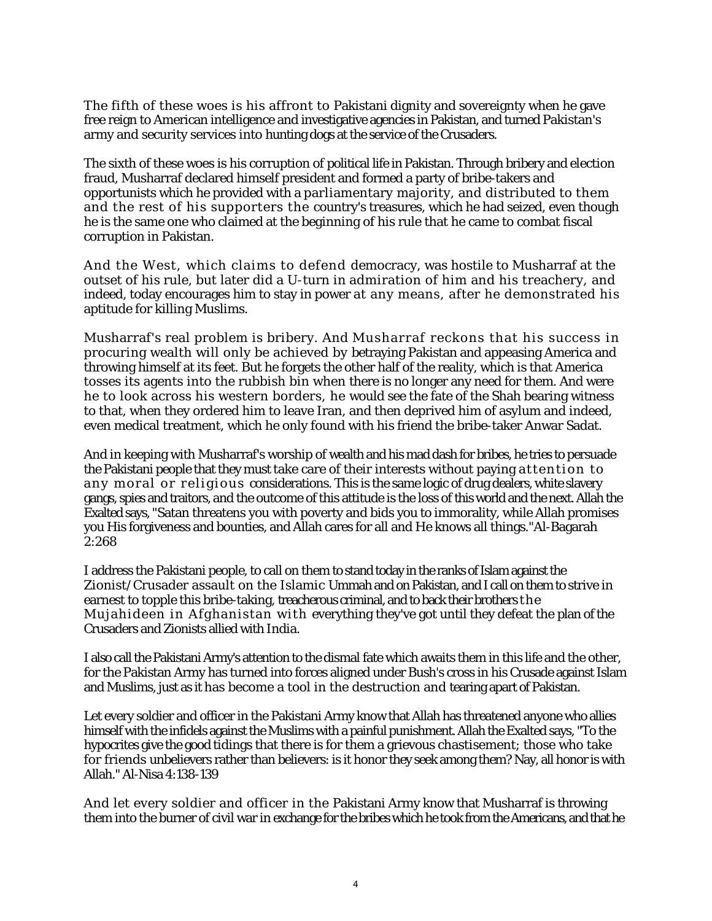The fifth of these woes is his affront to Pakistani dignity and sovereignty when he gave free reign to American intelligence and investigative agencies in Pakistan, and turned Pakistan's army and security services into hunting dogs at the service of the Crusaders.

The sixth of these woes is his corruption of political life in Pakistan. Through bribery and election fraud, Musharraf declared himself president and formed a party of bribe-takers and opportunists which he provided with a parliamentary majority, and distributed to them and the rest of his supporters the country's treasures, which he had seized, even though he is the same one who claimed at the beginning of his rule that he came to combat fiscal corruption in Pakistan.

And the West, which claims to defend democracy, was hostile to Musharraf at the outset of his rule, but later did a U-turn in admiration of him and his treachery, and indeed, today encourages him to stay in power at any means, after he demonstrated his aptitude for killing Muslims.

Musharraf's real problem is bribery. And Musharraf reckons that his success in procuring wealth will only be achieved by betraying Pakistan and appeasing America and throwing himself at its feet. But he forgets the other half of the reality, which is that America tosses its agents into the rubbish bin when there is no longer any need for them. And were he to look across his western borders, he would see the fate of the Shah bearing witness to that, when they ordered him to leave Iran, and then deprived him of asylum and indeed, even medical treatment, which he only found with his friend the bribe-taker Anwar Sadat.

And in keeping with Musharraf's worship of wealth and his mad dash for bribes, he tries to persuade the Pakistani people that they must take care of their interests without paying at tention to any moral or religious considerations. This is the same logic of drug dealers, white slavery gangs, spies and traitors, and the outcome of this attitude is the loss of this world and the next. Allah the Exalted says, "Satan threatens you with poverty and bids you to immorality, while Allah promises you His forgiveness and bounties, and Allah cares for all and He knows all things."Al-Bagarah 2:268

I address the Pakistani people, to call on them to stand today in the ranks of Islam against the Zionist/Crusader assault on the Islamic Ummah and on Pakistan, and I call on them to strive in earnest to topple this bribe-taking, treacherous criminal, and to back their brothers the Mujahideen in Afghanistan with everything they've got until they defeat the plan of the Crusaders and Zionists allied with India.

I also call the Pakistani Army's attention to the dismal fate which awaits them in this life and the other, for the Pakistan Army has turned into forces aligned under Bush's cross in his Crusade against Islam and Muslims, just as it has become a tool in the destruction and tearing apart of Pakistan.

Let every soldier and officer in the Pakistani Army know that Allah has threatened anyone who allies himself with the infidels against the Muslims with a painful punishment. Allah the Exalted says, "To the hypocrites give the good tidings that there is for them a grievous chastisement; those who take for friends unbelievers rather than believers: is it honor they seek among them? Nay, all honor is with Allah." Al-Nisa 4:138-139

And let every soldier and officer in the Pakistani Army know that Musharraf is throwing them into the burner of civil war in exchange for the bribes which he took from the Americans, and that he